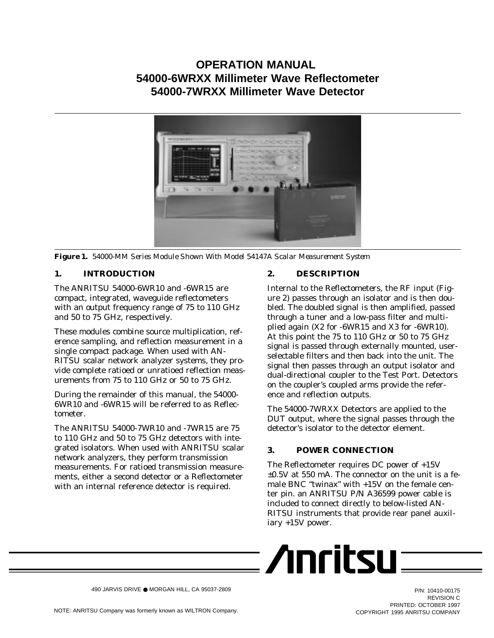# **OPERATION MANUAL 54000-6WRXX Millimeter Wave Reflectometer 54000-7WRXX Millimeter Wave Detector**



*Figure 1. 54000-MM Series Module Shown With Model 54147A Scalar Measurement System*

# **1. INTRODUCTION**

The ANRITSU 54000-6WR10 and -6WR15 are compact, integrated, waveguide reflectometers with an output frequency range of 75 to 110 GHz and 50 to 75 GHz, respectively.

These modules combine source multiplication, reference sampling, and reflection measurement in a single compact package. When used with AN-RITSU scalar network analyzer systems, they provide complete ratioed or unratioed reflection measurements from 75 to 110 GHz or 50 to 75 GHz.

During the remainder of this manual, the 54000- 6WR10 and -6WR15 will be referred to as Reflectometer.

The ANRITSU 54000-7WR10 and -7WR15 are 75 to 110 GHz and 50 to 75 GHz detectors with integrated isolators. When used with ANRITSU scalar network analyzers, they perform transmission measurements. For ratioed transmission measurements, either a second detector or a Reflectometer with an internal reference detector is required.

# **2. DESCRIPTION**

Internal to the Reflectometers, the RF input (Figure 2) passes through an isolator and is then doubled. The doubled signal is then amplified, passed through a tuner and a low-pass filter and multiplied again (X2 for -6WR15 and X3 for -6WR10). At this point the 75 to 110 GHz or 50 to 75 GHz signal is passed through externally mounted, userselectable filters and then back into the unit. The signal then passes through an output isolator and dual-directional coupler to the Test Port. Detectors on the coupler's coupled arms provide the reference and reflection outputs.

The 54000-7WRXX Detectors are applied to the DUT output, where the signal passes through the detector's isolator to the detector element.

# **3. POWER CONNECTION**

The Reflectometer requires DC power of +15V  $\pm 0.5$ V at 550 mA. The connector on the unit is a female BNC "twinax" with +15V on the female center pin. an ANRITSU P/N A36599 power cable is included to connect directly to below-listed AN-RITSU instruments that provide rear panel auxiliary +15V power.

$$
\sqrt{\text{Inritsu}} =
$$

490 JARVIS DRIVE ● MORGAN HILL, CA 95037-2809

P/N: 10410-00175 REVISION C PRINTED: OCTOBER 1997 COPYRIGHT 1995 ANRITSU COMPANY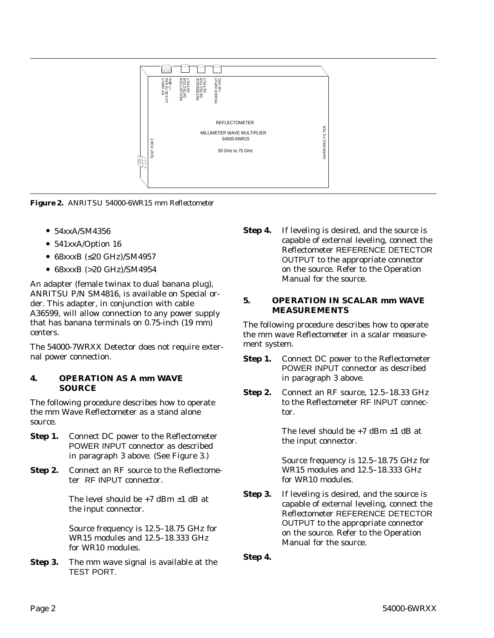

*Figure 2. ANRITSU 54000-6WR15 mm Reflectometer*

- 54xxA/SM4356
- 541xxA/Option 16
- 68xxxB (≤20 GHz)/SM4957
- 68xxxB (>20 GHz)/SM4954

An adapter (female twinax to dual banana plug), ANRITSU P/N SM4816, is available on Special order. This adapter, in conjunction with cable A36599, will allow connection to any power supply that has banana terminals on 0.75-inch (19 mm) centers.

The 54000-7WRXX Detector does not require external power connection.

## **4. OPERATION AS A mm WAVE SOURCE**

The following procedure describes how to operate the mm Wave Reflectometer as a stand alone source.

- **Step 1.** Connect DC power to the Reflectometer POWER INPUT connector as described in paragraph 3 above. (See Figure 3.)
- **Step 2.** Connect an RF source to the Reflectometer RF INPUT connector.

The level should be  $+7$  dBm  $\pm 1$  dB at the input connector.

Source frequency is 12.5–18.75 GHz for WR15 modules and 12.5–18.333 GHz for WR10 modules.

**Step 3.** The mm wave signal is available at the TEST PORT.

**Step 4.** If leveling is desired, and the source is capable of external leveling, connect the Reflectometer REFERENCE DETECTOR OUTPUT to the appropriate connector on the source. Refer to the Operation Manual for the source.

# **5. OPERATION IN SCALAR mm WAVE MEASUREMENTS**

The following procedure describes how to operate the mm wave Reflectometer in a scalar measurement system.

- **Step 1.** Connect DC power to the Reflectometer POWER INPUT connector as described in paragraph 3 above.
- **Step 2.** Connect an RF source, 12.5–18.33 GHz to the Reflectometer RF INPUT connector.

The level should be  $+7$  dBm  $\pm 1$  dB at the input connector.

Source frequency is 12.5–18.75 GHz for WR15 modules and 12.5–18.333 GHz for WR10 modules.

**Step 3.** If leveling is desired, and the source is capable of external leveling, connect the Reflectometer REFERENCE DETECTOR OUTPUT to the appropriate connector on the source. Refer to the Operation Manual for the source.

**Step 4.**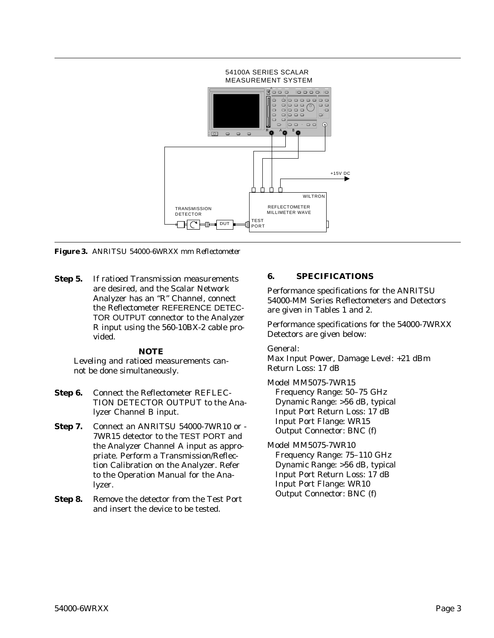

*Figure 3. ANRITSU 54000-6WRXX mm Reflectometer*

**Step 5.** If ratioed Transmission measurements are desired, and the Scalar Network Analyzer has an "R" Channel, connect the Reflectometer REFERENCE DETEC-TOR OUTPUT connector to the Analyzer R input using the 560-10BX-2 cable provided.

## *NOTE*

Leveling and ratioed measurements cannot be done simultaneously.

- **Step 6.** Connect the Reflectometer REFLEC-TION DETECTOR OUTPUT to the Analyzer Channel B input.
- **Step 7.** Connect an ANRITSU 54000-7WR10 or 7WR15 detector to the TEST PORT and the Analyzer Channel A input as appropriate. Perform a Transmission/Reflection Calibration on the Analyzer. Refer to the Operation Manual for the Analyzer.
- **Step 8.** Remove the detector from the Test Port and insert the device to be tested.

# **6. SPECIFICATIONS**

Performance specifications for the ANRITSU 54000-MM Series Reflectometers and Detectors are given in Tables 1 and 2.

Performance specifications for the 54000-7WRXX Detectors are given below:

General:

Max Input Power, Damage Level: +21 dBm Return Loss: 17 dB

Model MM5075-7WR15 Frequency Range: 50–75 GHz Dynamic Range: >56 dB, typical Input Port Return Loss: 17 dB Input Port Flange: WR15 Output Connector: BNC (f)

Model MM5075-7WR10 Frequency Range: 75–110 GHz Dynamic Range: >56 dB, typical Input Port Return Loss: 17 dB Input Port Flange: WR10 Output Connector: BNC (f)